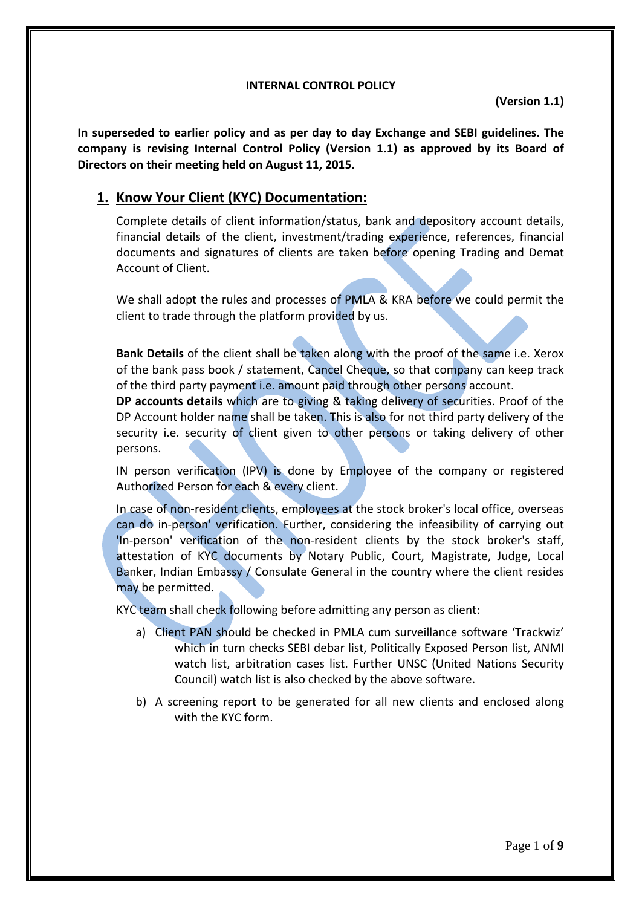#### **INTERNAL CONTROL POLICY**

**(Version 1.1)**

**In superseded to earlier policy and as per day to day Exchange and SEBI guidelines. The company is revising Internal Control Policy (Version 1.1) as approved by its Board of Directors on their meeting held on August 11, 2015.**

## **1. Know Your Client (KYC) Documentation:**

Complete details of client information/status, bank and depository account details, financial details of the client, investment/trading experience, references, financial documents and signatures of clients are taken before opening Trading and Demat Account of Client.

We shall adopt the rules and processes of PMLA & KRA before we could permit the client to trade through the platform provided by us.

**Bank Details** of the client shall be taken along with the proof of the same i.e. Xerox of the bank pass book / statement, Cancel Cheque, so that company can keep track of the third party payment i.e. amount paid through other persons account.

**DP accounts details** which are to giving & taking delivery of securities. Proof of the DP Account holder name shall be taken. This is also for not third party delivery of the security i.e. security of client given to other persons or taking delivery of other persons.

IN person verification (IPV) is done by Employee of the company or registered Authorized Person for each & every client.

In case of non-resident clients, employees at the stock broker's local office, overseas can do in-person' verification. Further, considering the infeasibility of carrying out 'In-person' verification of the non-resident clients by the stock broker's staff, attestation of KYC documents by Notary Public, Court, Magistrate, Judge, Local Banker, Indian Embassy / Consulate General in the country where the client resides may be permitted.

KYC team shall check following before admitting any person as client:

- a) Client PAN should be checked in PMLA cum surveillance software 'Trackwiz' which in turn checks SEBI debar list, Politically Exposed Person list, ANMI watch list, arbitration cases list. Further UNSC (United Nations Security Council) watch list is also checked by the above software.
- b) A screening report to be generated for all new clients and enclosed along with the KYC form.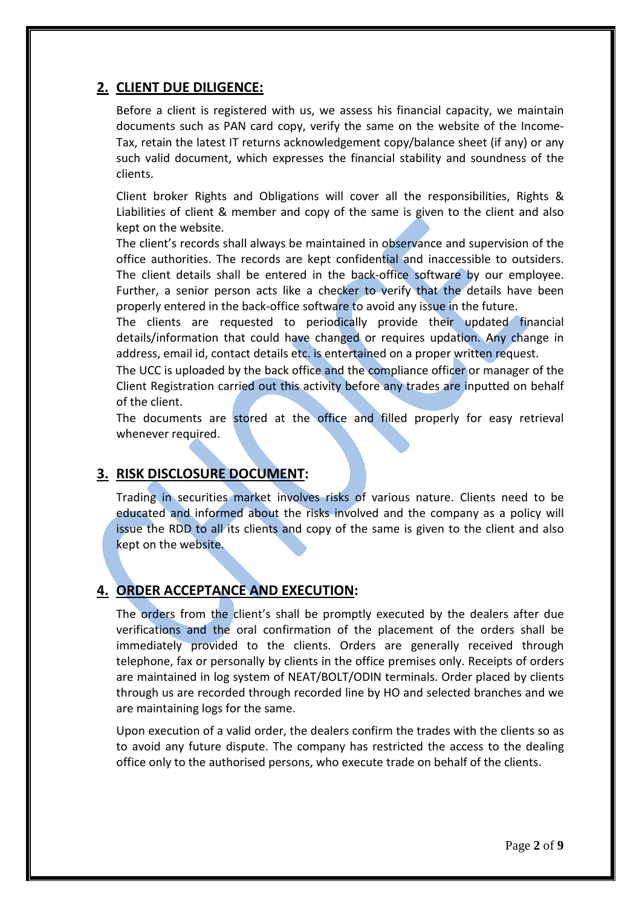## **2. CLIENT DUE DILIGENCE:**

Before a client is registered with us, we assess his financial capacity, we maintain documents such as PAN card copy, verify the same on the website of the Income-Tax, retain the latest IT returns acknowledgement copy/balance sheet (if any) or any such valid document, which expresses the financial stability and soundness of the clients.

Client broker Rights and Obligations will cover all the responsibilities, Rights & Liabilities of client & member and copy of the same is given to the client and also kept on the website.

The client's records shall always be maintained in observance and supervision of the office authorities. The records are kept confidential and inaccessible to outsiders. The client details shall be entered in the back-office software by our employee. Further, a senior person acts like a checker to verify that the details have been properly entered in the back-office software to avoid any issue in the future.

The clients are requested to periodically provide their updated financial details/information that could have changed or requires updation. Any change in address, email id, contact details etc. is entertained on a proper written request.

The UCC is uploaded by the back office and the compliance officer or manager of the Client Registration carried out this activity before any trades are inputted on behalf of the client.

The documents are stored at the office and filled properly for easy retrieval whenever required.

## **3. RISK DISCLOSURE DOCUMENT:**

Trading in securities market involves risks of various nature. Clients need to be educated and informed about the risks involved and the company as a policy will issue the RDD to all its clients and copy of the same is given to the client and also kept on the website.

## **4. ORDER ACCEPTANCE AND EXECUTION:**

The orders from the client's shall be promptly executed by the dealers after due verifications and the oral confirmation of the placement of the orders shall be immediately provided to the clients. Orders are generally received through telephone, fax or personally by clients in the office premises only. Receipts of orders are maintained in log system of NEAT/BOLT/ODIN terminals. Order placed by clients through us are recorded through recorded line by HO and selected branches and we are maintaining logs for the same.

Upon execution of a valid order, the dealers confirm the trades with the clients so as to avoid any future dispute. The company has restricted the access to the dealing office only to the authorised persons, who execute trade on behalf of the clients.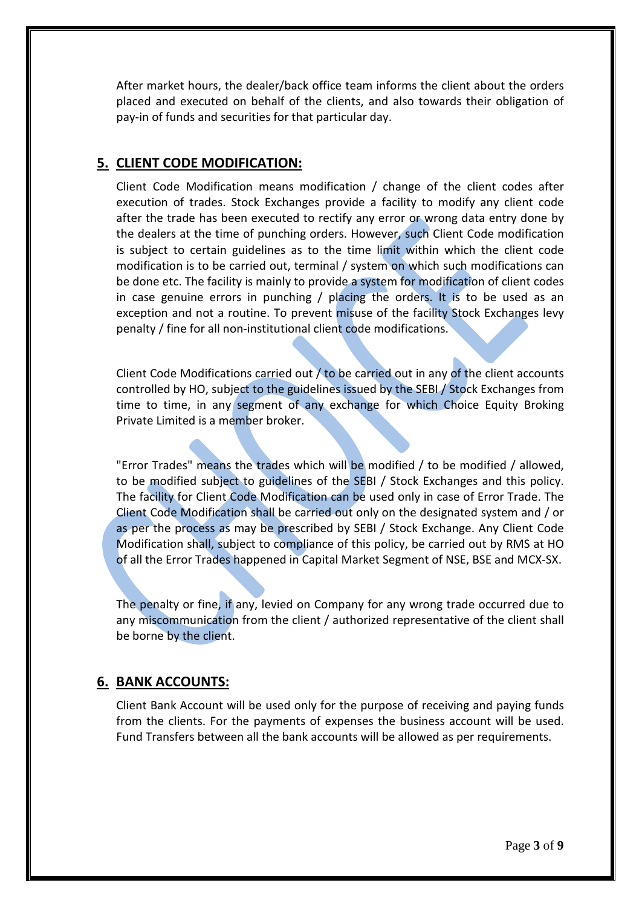After market hours, the dealer/back office team informs the client about the orders placed and executed on behalf of the clients, and also towards their obligation of pay-in of funds and securities for that particular day.

### **5. CLIENT CODE MODIFICATION:**

Client Code Modification means modification / change of the client codes after execution of trades. Stock Exchanges provide a facility to modify any client code after the trade has been executed to rectify any error or wrong data entry done by the dealers at the time of punching orders. However, such Client Code modification is subject to certain guidelines as to the time limit within which the client code modification is to be carried out, terminal / system on which such modifications can be done etc. The facility is mainly to provide a system for modification of client codes in case genuine errors in punching / placing the orders. It is to be used as an exception and not a routine. To prevent misuse of the facility Stock Exchanges levy penalty / fine for all non-institutional client code modifications.

Client Code Modifications carried out  $/$  to be carried out in any of the client accounts controlled by HO, subject to the guidelines issued by the SEBI / Stock Exchanges from time to time, in any segment of any exchange for which Choice Equity Broking Private Limited is a member broker.

"Error Trades" means the trades which will be modified / to be modified / allowed, to be modified subject to guidelines of the SEBI / Stock Exchanges and this policy. The facility for Client Code Modification can be used only in case of Error Trade. The Client Code Modification shall be carried out only on the designated system and / or as per the process as may be prescribed by SEBI / Stock Exchange. Any Client Code Modification shall, subject to compliance of this policy, be carried out by RMS at HO of all the Error Trades happened in Capital Market Segment of NSE, BSE and MCX-SX.

The penalty or fine, if any, levied on Company for any wrong trade occurred due to any miscommunication from the client / authorized representative of the client shall be borne by the client.

## **6. BANK ACCOUNTS:**

Client Bank Account will be used only for the purpose of receiving and paying funds from the clients. For the payments of expenses the business account will be used. Fund Transfers between all the bank accounts will be allowed as per requirements.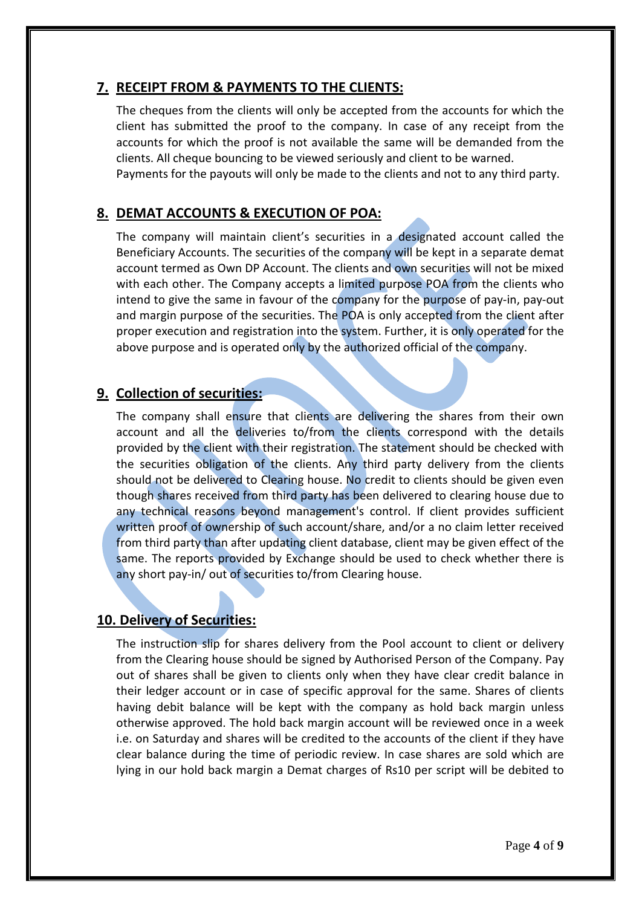## **7. RECEIPT FROM & PAYMENTS TO THE CLIENTS:**

The cheques from the clients will only be accepted from the accounts for which the client has submitted the proof to the company. In case of any receipt from the accounts for which the proof is not available the same will be demanded from the clients. All cheque bouncing to be viewed seriously and client to be warned. Payments for the payouts will only be made to the clients and not to any third party.

## **8. DEMAT ACCOUNTS & EXECUTION OF POA:**

The company will maintain client's securities in a designated account called the Beneficiary Accounts. The securities of the company will be kept in a separate demat account termed as Own DP Account. The clients and own securities will not be mixed with each other. The Company accepts a limited purpose POA from the clients who intend to give the same in favour of the company for the purpose of pay-in, pay-out and margin purpose of the securities. The POA is only accepted from the client after proper execution and registration into the system. Further, it is only operated for the above purpose and is operated only by the authorized official of the company.

### **9. Collection of securities:**

The company shall ensure that clients are delivering the shares from their own account and all the deliveries to/from the clients correspond with the details provided by the client with their registration. The statement should be checked with the securities obligation of the clients. Any third party delivery from the clients should not be delivered to Clearing house. No credit to clients should be given even though shares received from third party has been delivered to clearing house due to any technical reasons beyond management's control. If client provides sufficient written proof of ownership of such account/share, and/or a no claim letter received from third party than after updating client database, client may be given effect of the same. The reports provided by Exchange should be used to check whether there is any short pay-in/ out of securities to/from Clearing house.

### **10. Delivery of Securities:**

The instruction slip for shares delivery from the Pool account to client or delivery from the Clearing house should be signed by Authorised Person of the Company. Pay out of shares shall be given to clients only when they have clear credit balance in their ledger account or in case of specific approval for the same. Shares of clients having debit balance will be kept with the company as hold back margin unless otherwise approved. The hold back margin account will be reviewed once in a week i.e. on Saturday and shares will be credited to the accounts of the client if they have clear balance during the time of periodic review. In case shares are sold which are lying in our hold back margin a Demat charges of Rs10 per script will be debited to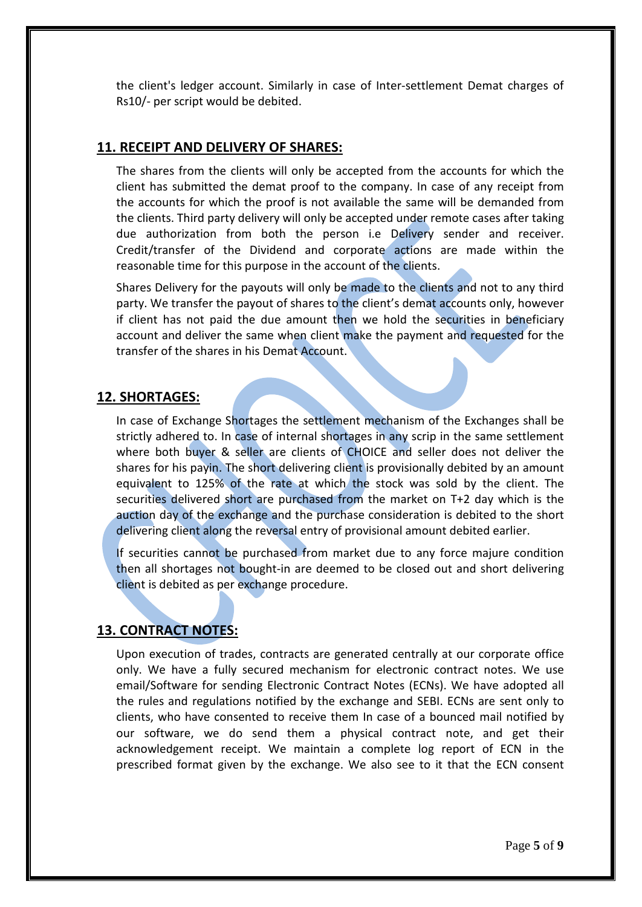the client's ledger account. Similarly in case of Inter-settlement Demat charges of Rs10/- per script would be debited.

### **11. RECEIPT AND DELIVERY OF SHARES:**

The shares from the clients will only be accepted from the accounts for which the client has submitted the demat proof to the company. In case of any receipt from the accounts for which the proof is not available the same will be demanded from the clients. Third party delivery will only be accepted under remote cases after taking due authorization from both the person i.e Delivery sender and receiver. Credit/transfer of the Dividend and corporate actions are made within the reasonable time for this purpose in the account of the clients.

Shares Delivery for the payouts will only be made to the clients and not to any third party. We transfer the payout of shares to the client's demat accounts only, however if client has not paid the due amount then we hold the securities in beneficiary account and deliver the same when client make the payment and requested for the transfer of the shares in his Demat Account.

#### **12. SHORTAGES:**

In case of Exchange Shortages the settlement mechanism of the Exchanges shall be strictly adhered to. In case of internal shortages in any scrip in the same settlement where both buyer & seller are clients of CHOICE and seller does not deliver the shares for his payin. The short delivering client is provisionally debited by an amount equivalent to 125% of the rate at which the stock was sold by the client. The securities delivered short are purchased from the market on T+2 day which is the auction day of the exchange and the purchase consideration is debited to the short delivering client along the reversal entry of provisional amount debited earlier.

If securities cannot be purchased from market due to any force majure condition then all shortages not bought-in are deemed to be closed out and short delivering client is debited as per exchange procedure.

### **13. CONTRACT NOTES:**

Upon execution of trades, contracts are generated centrally at our corporate office only. We have a fully secured mechanism for electronic contract notes. We use email/Software for sending Electronic Contract Notes (ECNs). We have adopted all the rules and regulations notified by the exchange and SEBI. ECNs are sent only to clients, who have consented to receive them In case of a bounced mail notified by our software, we do send them a physical contract note, and get their acknowledgement receipt. We maintain a complete log report of ECN in the prescribed format given by the exchange. We also see to it that the ECN consent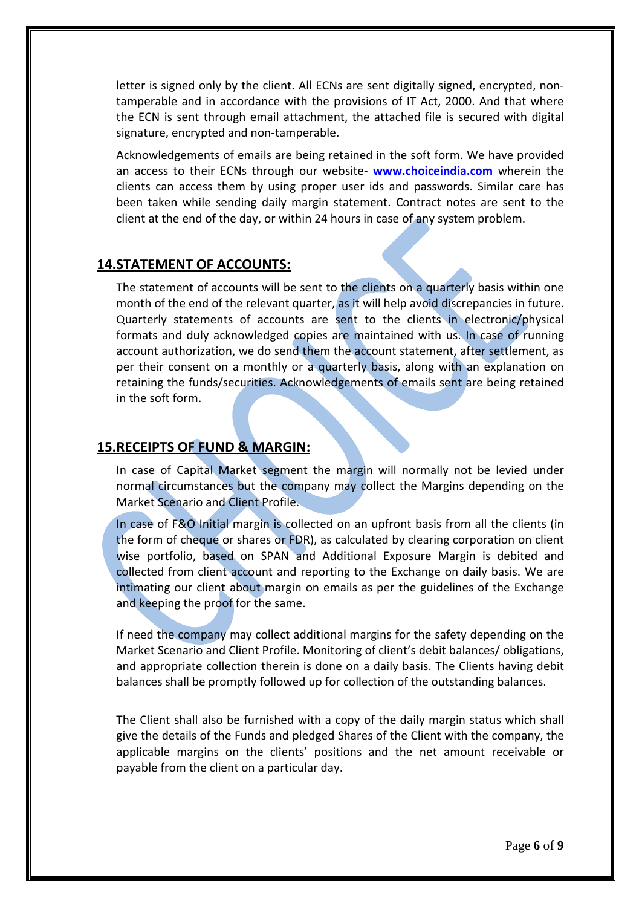letter is signed only by the client. All ECNs are sent digitally signed, encrypted, nontamperable and in accordance with the provisions of IT Act, 2000. And that where the ECN is sent through email attachment, the attached file is secured with digital signature, encrypted and non-tamperable.

Acknowledgements of emails are being retained in the soft form. We have provided an access to their ECNs through our website- **www.choiceindia.com** wherein the clients can access them by using proper user ids and passwords. Similar care has been taken while sending daily margin statement. Contract notes are sent to the client at the end of the day, or within 24 hours in case of any system problem.

### **14.STATEMENT OF ACCOUNTS:**

The statement of accounts will be sent to the clients on a quarterly basis within one month of the end of the relevant quarter, as it will help avoid discrepancies in future. Quarterly statements of accounts are sent to the clients in electronic/physical formats and duly acknowledged copies are maintained with us. In case of running account authorization, we do send them the account statement, after settlement, as per their consent on a monthly or a quarterly basis, along with an explanation on retaining the funds/securities. Acknowledgements of emails sent are being retained in the soft form.

#### **15.RECEIPTS OF FUND & MARGIN:**

In case of Capital Market segment the margin will normally not be levied under normal circumstances but the company may collect the Margins depending on the Market Scenario and Client Profile.

In case of F&O Initial margin is collected on an upfront basis from all the clients (in the form of cheque or shares or FDR), as calculated by clearing corporation on client wise portfolio, based on SPAN and Additional Exposure Margin is debited and collected from client account and reporting to the Exchange on daily basis. We are intimating our client about margin on emails as per the guidelines of the Exchange and keeping the proof for the same.

If need the company may collect additional margins for the safety depending on the Market Scenario and Client Profile. Monitoring of client's debit balances/ obligations, and appropriate collection therein is done on a daily basis. The Clients having debit balances shall be promptly followed up for collection of the outstanding balances.

The Client shall also be furnished with a copy of the daily margin status which shall give the details of the Funds and pledged Shares of the Client with the company, the applicable margins on the clients' positions and the net amount receivable or payable from the client on a particular day.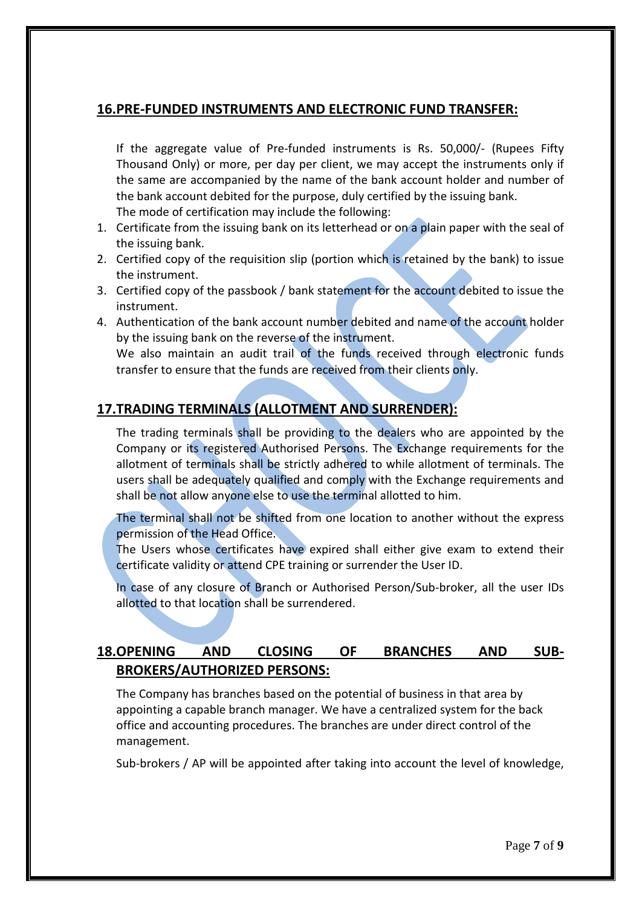## **16.PRE-FUNDED INSTRUMENTS AND ELECTRONIC FUND TRANSFER:**

If the aggregate value of Pre-funded instruments is Rs. 50,000/- (Rupees Fifty Thousand Only) or more, per day per client, we may accept the instruments only if the same are accompanied by the name of the bank account holder and number of the bank account debited for the purpose, duly certified by the issuing bank. The mode of certification may include the following:

- 1. Certificate from the issuing bank on its letterhead or on a plain paper with the seal of the issuing bank.
- 2. Certified copy of the requisition slip (portion which is retained by the bank) to issue the instrument.
- 3. Certified copy of the passbook / bank statement for the account debited to issue the instrument.
- 4. Authentication of the bank account number debited and name of the account holder by the issuing bank on the reverse of the instrument.

We also maintain an audit trail of the funds received through electronic funds transfer to ensure that the funds are received from their clients only.

## **17.TRADING TERMINALS (ALLOTMENT AND SURRENDER):**

The trading terminals shall be providing to the dealers who are appointed by the Company or its registered Authorised Persons. The Exchange requirements for the allotment of terminals shall be strictly adhered to while allotment of terminals. The users shall be adequately qualified and comply with the Exchange requirements and shall be not allow anyone else to use the terminal allotted to him.

The terminal shall not be shifted from one location to another without the express permission of the Head Office.

The Users whose certificates have expired shall either give exam to extend their certificate validity or attend CPE training or surrender the User ID.

In case of any closure of Branch or Authorised Person/Sub-broker, all the user IDs allotted to that location shall be surrendered.

# **18.OPENING AND CLOSING OF BRANCHES AND SUB-BROKERS/AUTHORIZED PERSONS:**

The Company has branches based on the potential of business in that area by appointing a capable branch manager. We have a centralized system for the back office and accounting procedures. The branches are under direct control of the management.

Sub-brokers / AP will be appointed after taking into account the level of knowledge,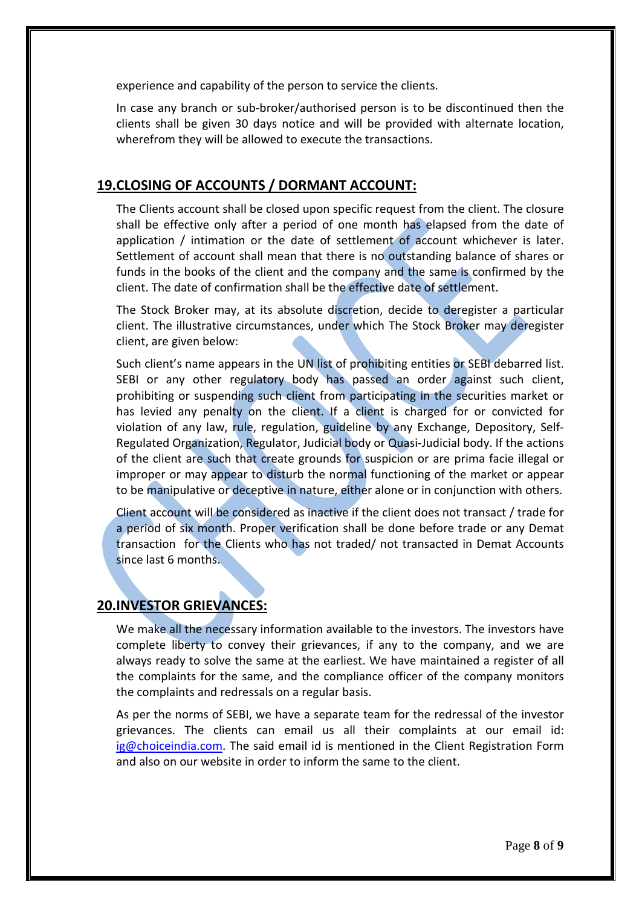experience and capability of the person to service the clients.

In case any branch or sub-broker/authorised person is to be discontinued then the clients shall be given 30 days notice and will be provided with alternate location, wherefrom they will be allowed to execute the transactions.

## **19.CLOSING OF ACCOUNTS / DORMANT ACCOUNT:**

The Clients account shall be closed upon specific request from the client. The closure shall be effective only after a period of one month has elapsed from the date of application / intimation or the date of settlement of account whichever is later. Settlement of account shall mean that there is no outstanding balance of shares or funds in the books of the client and the company and the same is confirmed by the client. The date of confirmation shall be the effective date of settlement.

The Stock Broker may, at its absolute discretion, decide to deregister a particular client. The illustrative circumstances, under which The Stock Broker may deregister client, are given below:

Such client's name appears in the UN list of prohibiting entities or SEBI debarred list. SEBI or any other regulatory body has passed an order against such client, prohibiting or suspending such client from participating in the securities market or has levied any penalty on the client. If a client is charged for or convicted for violation of any law, rule, regulation, guideline by any Exchange, Depository, Self-Regulated Organization, Regulator, Judicial body or Quasi-Judicial body. If the actions of the client are such that create grounds for suspicion or are prima facie illegal or improper or may appear to disturb the normal functioning of the market or appear to be manipulative or deceptive in nature, either alone or in conjunction with others.

Client account will be considered as inactive if the client does not transact / trade for a period of six month. Proper verification shall be done before trade or any Demat transaction for the Clients who has not traded/ not transacted in Demat Accounts since last 6 months.

## **20.INVESTOR GRIEVANCES:**

We make all the necessary information available to the investors. The investors have complete liberty to convey their grievances, if any to the company, and we are always ready to solve the same at the earliest. We have maintained a register of all the complaints for the same, and the compliance officer of the company monitors the complaints and redressals on a regular basis.

As per the norms of SEBI, we have a separate team for the redressal of the investor grievances. The clients can email us all their complaints at our email id: [ig@choiceindia.com.](mailto:ig@choiceindia.com) The said email id is mentioned in the Client Registration Form and also on our website in order to inform the same to the client.